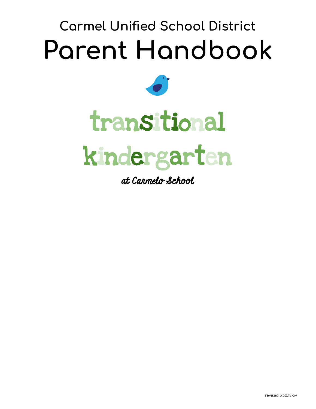# Carmel Unified School District Parent Handbook



# tran sitional



at Carmelo School

revised 3.30.18kw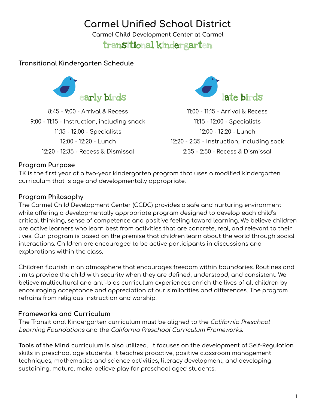## Carmel Unified School District

Carmel Child Development Center at Carmel

### transitional kindergarten

#### Transitional Kindergarten Schedule



8:45 - 9:00 - Arrival & Recess 9:00 - 11:15 - Instruction, including snack 11:15 - 12:00 - Specialists 12:00 - 12:20 - Lunch 12:20 - 12:35 - Recess & Dismissal



11:00 - 11:15 - Arrival & Recess 11:15 - 12:00 - Specialists 12:00 - 12:20 - Lunch 12:20 - 2:35 - Instruction, including sack 2:35 - 2:50 - Recess & Dismissal

#### Program Purpose

TK is the first year of a two-year kindergarten program that uses a modified kindergarten curriculum that is age and developmentally appropriate.

#### Program Philosophy

The Carmel Child Development Center (CCDC) provides a safe and nurturing environment while offering a developmentally appropriate program designed to develop each child's critical thinking, sense of competence and positive feeling toward learning. We believe children are active learners who learn best from activities that are concrete, real, and relevant to their lives. Our program is based on the premise that children learn about the world through social interactions. Children are encouraged to be active participants in discussions and explorations within the class.

Children flourish in an atmosphere that encourages freedom within boundaries. Routines and limits provide the child with security when they are defined, understood, and consistent. We believe multicultural and anti-bias curriculum experiences enrich the lives of all children by encouraging acceptance and appreciation of our similarities and differences. The program refrains from religious instruction and worship.

#### Frameworks and Curriculum

The Transitional Kindergarten curriculum must be aligned to the California Preschool Learning Foundations and the California Preschool Curriculum Frameworks.

Tools of the Mind curriculum is also utilized. It focuses on the development of Self-Regulation skills in preschool age students. It teaches proactive, positive classroom management techniques, mathematics and science activities, literacy development, and developing sustaining, mature, make-believe play for preschool aged students.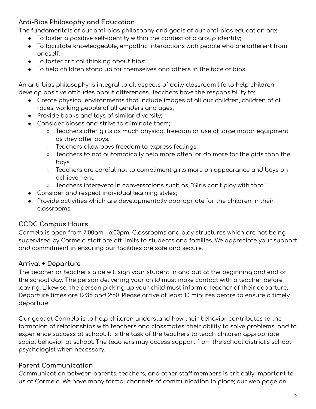#### Anti-Bias Philosophy and Education

The fundamentals of our anti-bias philosophy and goals of our anti-bias education are:

- To foster a positive self-identity within the context of a group identity;
- To facilitate knowledgeable, empathic interactions with people who are different from oneself;
- To foster critical thinking about bias;
- To help children stand up for themselves and others in the face of bias

An anti-bias philosophy is integral to all aspects of daily classroom life to help children develop positive attitudes about differences. Teachers have the responsibility to:

- Create physical environments that include images of all our children, children of all races, working people of all genders and ages;
- Provide books and toys of similar diversity;
- Consider biases and strive to eliminate them;
	- $\circ$  Teachers offer girls as much physical freedom or use of large motor equipment as they offer boys.
	- Teachers allow boys freedom to express feelings.
	- Teachers to not automatically help more often, or do more for the girls than the boys.
	- Teachers are careful not to compliment girls more on appearance and boys on achievement.
	- Teachers interevent in conversations such as, "Girls can't play with that."
- Consider and respect individual learning styles;
- Provide activities which are developmentally appropriate for the children in their classrooms.

#### CCDC Campus Hours

Carmelo is open from 7:00am - 6:00pm. Classrooms and play structures which are not being supervised by Carmelo staff are off limits to students and families. We appreciate your support and commitment in ensuring our facilities are safe and secure.

#### Arrival + Departure

The teacher or teacher's aide will sign your student in and out at the beginning and end of the school day. The person delivering your child must make contact with a teacher before leaving. Likewise, the person picking up your child must inform a teacher of their departure. Departure times are 12:35 and 2:50. Please arrive at least 10 minutes before to ensure a timely departure.

Our goal at Carmelo is to help children understand how their behavior contributes to the formation of relationships with teachers and classmates, their ability to solve problems, and to experience success at school. It is the task of the teachers to teach children appropriate social behavior at school. The teachers may access support from the school district's school psychologist when necessary.

#### Parent Communication

Communication between parents, teachers, and other staff members is critically important to us at Carmelo. We have many formal channels of communication in place; our web page on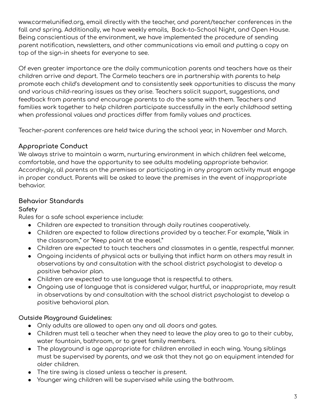www.carmelunified.org, email directly with the teacher, and parent/teacher conferences in the fall and spring. Additionally, we have weekly emails, Back-to-School Night, and Open House. Being conscientious of the environment, we have implemented the procedure of sending parent notification, newsletters, and other communications via email and putting a copy on top of the sign-in sheets for everyone to see.

Of even greater importance are the daily communication parents and teachers have as their children arrive and depart. The Carmelo teachers are in partnership with parents to help promote each child's development and to consistently seek opportunities to discuss the many and various child-rearing issues as they arise. Teachers solicit support, suggestions, and feedback from parents and encourage parents to do the same with them. Teachers and families work together to help children participate successfully in the early childhood setting when professional values and practices differ from family values and practices.

Teacher-parent conferences are held twice during the school year, in November and March.

#### Appropriate Conduct

We always strive to maintain a warm, nurturing environment in which children feel welcome, comfortable, and have the opportunity to see adults modeling appropriate behavior. Accordingly, all parents on the premises or participating in any program activity must engage in proper conduct. Parents will be asked to leave the premises in the event of inappropriate behavior.

#### Behavior Standards

#### Safety

Rules for a safe school experience include:

- Children are expected to transition through daily routines cooperatively.
- Children are expected to follow directions provided by a teacher. For example, "Walk in the classroom," or "Keep paint at the easel."
- Children are expected to touch teachers and classmates in a gentle, respectful manner.
- Ongoing incidents of physical acts or bullying that inflict harm on others may result in observations by and consultation with the school district psychologist to develop a positive behavior plan.
- Children are expected to use language that is respectful to others.
- Ongoing use of language that is considered vulgar, hurtful, or inappropriate, may result in observations by and consultation with the school district psychologist to develop a positive behavioral plan.

#### Outside Playground Guidelines:

- Only adults are allowed to open any and all doors and gates.
- Children must tell a teacher when they need to leave the play area to go to their cubby, water fountain, bathroom, or to greet family members.
- The playground is age appropriate for children enrolled in each wing. Young siblings must be supervised by parents, and we ask that they not go on equipment intended for older children.
- The tire swing is closed unless a teacher is present.
- Younger wing children will be supervised while using the bathroom.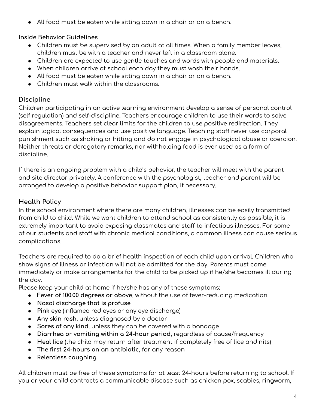● All food must be eaten while sitting down in a chair or on a bench.

#### Inside Behavior Guidelines

- Children must be supervised by an adult at all times. When a family member leaves, children must be with a teacher and never left in a classroom alone.
- Children are expected to use gentle touches and words with people and materials.
- When children arrive at school each day they must wash their hands.
- All food must be eaten while sitting down in a chair or on a bench.
- Children must walk within the classrooms.

#### Discipline

Children participating in an active learning environment develop a sense of personal control (self regulation) and self-discipline. Teachers encourage children to use their words to solve disagreements. Teachers set clear limits for the children to use positive redirection. They explain logical consequences and use positive language. Teaching staff never use corporal punishment such as shaking or hitting and do not engage in psychological abuse or coercion. Neither threats or derogatory remarks, nor withholding food is ever used as a form of discipline.

If there is an ongoing problem with a child's behavior, the teacher will meet with the parent and site director privately. A conference with the psychologist, teacher and parent will be arranged to develop a positive behavior support plan, if necessary.

#### Health Policy

In the school environment where there are many children, illnesses can be easily transmitted from child to child. While we want children to attend school as consistently as possible, it is extremely important to avoid exposing classmates and staff to infectious illnesses. For some of our students and staff with chronic medical conditions, a common illness can cause serious complications.

Teachers are required to do a brief health inspection of each child upon arrival. Children who show signs of illness or infection will not be admitted for the day. Parents must come immediately or make arrangements for the child to be picked up if he/she becomes ill during the day.

Please keep your child at home if he/she has any of these symptoms:

- Fever of 100.00 degrees or above, without the use of fever-reducing medication
- Nasal discharge that is profuse
- Pink eye (inflamed red eyes or any eye discharge)
- Any skin rash, unless diagnosed by a doctor
- Sores of any kind, unless they can be covered with a bandage
- Diarrhea or vomiting within a 24-hour period, regardless of cause/frequency
- Heal lice (the child may return after treatment if completely free of lice and nits)
- The first 24-hours on an antibiotic, for any reason
- Relentless coughing

All children must be free of these symptoms for at least 24-hours before returning to school. If you or your child contracts a communicable disease such as chicken pox, scabies, ringworm,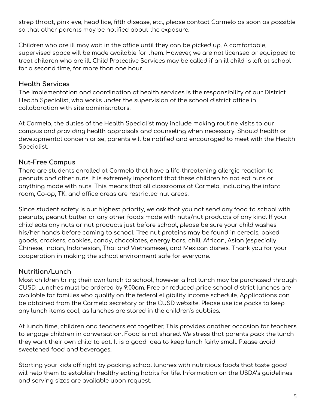strep throat, pink eye, head lice, fifth disease, etc., please contact Carmelo as soon as possible so that other parents may be notified about the exposure.

Children who are ill may wait in the office until they can be picked up. A comfortable, supervised space will be made available for them. However, we are not licensed or equipped to treat children who are ill. Child Protective Services may be called if an ill child is left at school for a second time, for more than one hour.

#### Health Services

The implementation and coordination of health services is the responsibility of our District Health Specialist, who works under the supervision of the school district office in collaboration with site administrators.

At Carmelo, the duties of the Health Specialist may include making routine visits to our campus and providing health appraisals and counseling when necessary. Should health or developmental concern arise, parents will be notified and encouraged to meet with the Health Specialist.

#### Nut-Free Campus

There are students enrolled at Carmelo that have a life-threatening allergic reaction to peanuts and other nuts. It is extremely important that these children to not eat nuts or anything made with nuts. This means that all classrooms at Carmelo, including the infant room, Co-op, TK, and office areas are restricted nut areas.

Since student safety is our highest priority, we ask that you not send any food to school with peanuts, peanut butter or any other foods made with nuts/nut products of any kind. If your child eats any nuts or nut products just before school, please be sure your child washes his/her hands before coming to school. Tree nut proteins may be found in cereals, baked goods, crackers, cookies, candy, chocolates, energy bars, chili, African, Asian (especially Chinese, Indian, Indonesian, Thai and Vietnamese), and Mexican dishes. Thank you for your cooperation in making the school environment safe for everyone.

#### Nutrition/Lunch

Most children bring their own lunch to school, however a hot lunch may be purchased through CUSD. Lunches must be ordered by 9:00am. Free or reduced-price school district lunches are available for families who qualify on the federal eligibility income schedule. Applications can be obtained from the Carmelo secretary or the CUSD website. Please use ice packs to keep any lunch items cool, as lunches are stored in the children's cubbies.

At lunch time, children and teachers eat together. This provides another occasion for teachers to engage children in conversation. Food is not shared. We stress that parents pack the lunch they want their own child to eat. It is a good idea to keep lunch fairly small. Please avoid sweetened food and beverages.

Starting your kids off right by packing school lunches with nutritious foods that taste good will help them to establish healthy eating habits for life. Information on the USDA's guidelines and serving sizes are available upon request.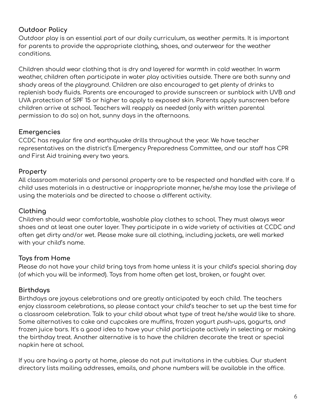#### Outdoor Policy

Outdoor play is an essential part of our daily curriculum, as weather permits. It is important for parents to provide the appropriate clothing, shoes, and outerwear for the weather conditions.

Children should wear clothing that is dry and layered for warmth in cold weather. In warm weather, children often participate in water play activities outside. There are both sunny and shady areas of the playground. Children are also encouraged to get plenty of drinks to replenish body fluids. Parents are encouraged to provide sunscreen or sunblock with UVB and UVA protection of SPF 15 or higher to apply to exposed skin. Parents apply sunscreen before children arrive at school. Teachers will reapply as needed (only with written parental permission to do so) on hot, sunny days in the afternoons.

#### Emergencies

CCDC has regular fire and earthquake drills throughout the year. We have teacher representatives on the district's Emergency Preparedness Committee, and our staff has CPR and First Aid training every two years.

#### Property

All classroom materials and personal property are to be respected and handled with care. If a child uses materials in a destructive or inappropriate manner, he/she may lose the privilege of using the materials and be directed to choose a different activity.

#### Clothing

Children should wear comfortable, washable play clothes to school. They must always wear shoes and at least one outer layer. They participate in a wide variety of activities at CCDC and often get dirty and/or wet. Please make sure all clothing, including jackets, are well marked with your child's name.

#### Toys from Home

Please do not have your child bring toys from home unless it is your child's special sharing day (of which you will be informed). Toys from home often get lost, broken, or fought over.

#### Birthdays

Birthdays are joyous celebrations and are greatly anticipated by each child. The teachers enjoy classroom celebrations, so please contact your child's teacher to set up the best time for a classroom celebration. Talk to your child about what type of treat he/she would like to share. Some alternatives to cake and cupcakes are muffins, frozen yogurt push-ups, gogurts, and frozen juice bars. It's a good idea to have your child participate actively in selecting or making the birthday treat. Another alternative is to have the children decorate the treat or special napkin here at school.

If you are having a party at home, please do not put invitations in the cubbies. Our student directory lists mailing addresses, emails, and phone numbers will be available in the office.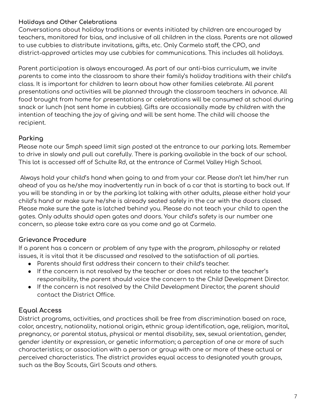#### Holidays and Other Celebrations

Conversations about holiday traditions or events initiated by children are encouraged by teachers, monitored for bias, and inclusive of all children in the class. Parents are not allowed to use cubbies to distribute invitations, gifts, etc. Only Carmelo staff, the CPO, and district-approved articles may use cubbies for communications. This includes all holidays.

Parent participation is always encouraged. As part of our anti-bias curriculum, we invite parents to come into the classroom to share their family's holiday traditions with their child's class. It is important for children to learn about how other families celebrate. All parent presentations and activities will be planned through the classroom teachers in advance. All food brought from home for presentations or celebrations will be consumed at school during snack or lunch (not sent home in cubbies). Gifts are occasionally made by children with the intention of teaching the joy of giving and will be sent home. The child will choose the recipient.

#### Parking

Please note our 5mph speed limit sign posted at the entrance to our parking lots. Remember to drive in slowly and pull out carefully. There is parking available in the back of our school. This lot is accessed off of Schulte Rd, at the entrance of Carmel Valley High School.

Always hold your child's hand when going to and from your car. Please don't let him/her run ahead of you as he/she may inadvertently run in back of a car that is starting to back out. If you will be standing in or by the parking lot talking with other adults, please either hold your child's hand or make sure he/she is already seated safely in the car with the doors closed. Please make sure the gate is latched behind you. Please do not teach your child to open the gates. Only adults should open gates and doors. Your child's safety is our number one concern, so please take extra care as you come and go at Carmelo.

#### Grievance Procedure

If a parent has a concern or problem of any type with the program, philosophy or related issues, it is vital that it be discussed and resolved to the satisfaction of all parties.

- Parents should first address their concern to their child's teacher.
- If the concern is not resolved by the teacher or does not relate to the teacher's responsibility, the parent should voice the concern to the Child Development Director.
- If the concern is not resolved by the Child Development Director, the parent should contact the District Office.

#### Equal Access

District programs, activities, and practices shall be free from discrimination based on race, color, ancestry, nationality, national origin, ethnic group identification, age, religion, marital, pregnancy, or parental status, physical or mental disability, sex, sexual orientation, gender, gender identity or expression, or genetic information; a perception of one or more of such characteristics; or association with a person or group with one or more of these actual or perceived characteristics. The district provides equal access to designated youth groups, such as the Boy Scouts, Girl Scouts and others.